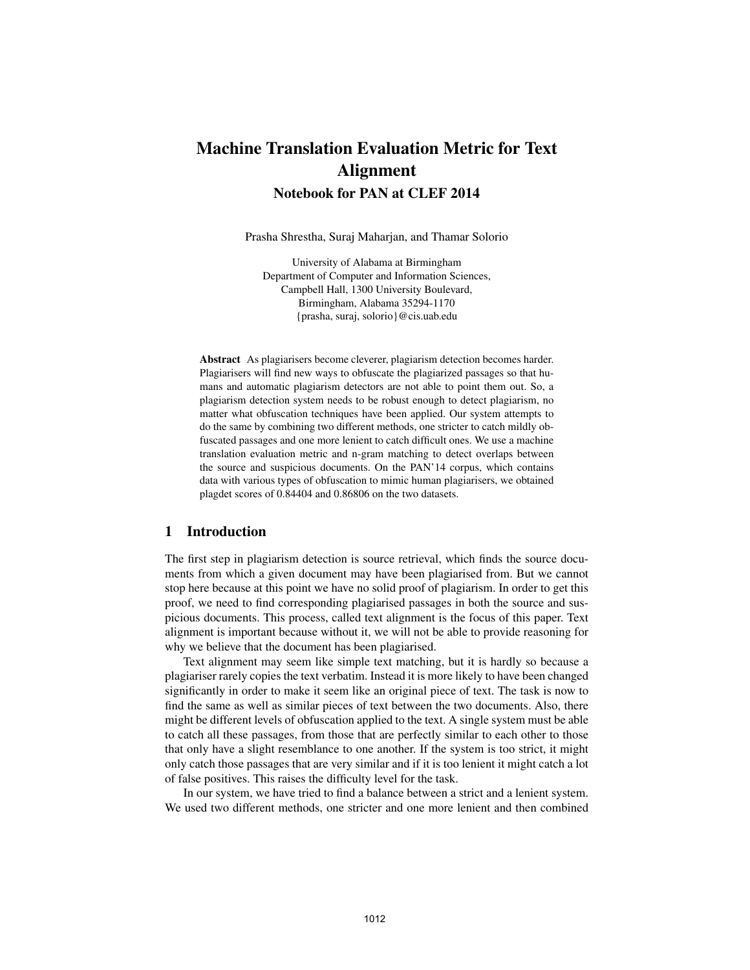# Machine Translation Evaluation Metric for Text Alignment Notebook for PAN at CLEF 2014

Prasha Shrestha, Suraj Maharjan, and Thamar Solorio

University of Alabama at Birmingham Department of Computer and Information Sciences, Campbell Hall, 1300 University Boulevard, Birmingham, Alabama 35294-1170 {prasha, suraj, solorio}@cis.uab.edu

Abstract As plagiarisers become cleverer, plagiarism detection becomes harder. Plagiarisers will find new ways to obfuscate the plagiarized passages so that humans and automatic plagiarism detectors are not able to point them out. So, a plagiarism detection system needs to be robust enough to detect plagiarism, no matter what obfuscation techniques have been applied. Our system attempts to do the same by combining two different methods, one stricter to catch mildly obfuscated passages and one more lenient to catch difficult ones. We use a machine translation evaluation metric and n-gram matching to detect overlaps between the source and suspicious documents. On the PAN'14 corpus, which contains data with various types of obfuscation to mimic human plagiarisers, we obtained plagdet scores of 0.84404 and 0.86806 on the two datasets.

## 1 Introduction

The first step in plagiarism detection is source retrieval, which finds the source documents from which a given document may have been plagiarised from. But we cannot stop here because at this point we have no solid proof of plagiarism. In order to get this proof, we need to find corresponding plagiarised passages in both the source and suspicious documents. This process, called text alignment is the focus of this paper. Text alignment is important because without it, we will not be able to provide reasoning for why we believe that the document has been plagiarised.

Text alignment may seem like simple text matching, but it is hardly so because a plagiariser rarely copies the text verbatim. Instead it is more likely to have been changed significantly in order to make it seem like an original piece of text. The task is now to find the same as well as similar pieces of text between the two documents. Also, there might be different levels of obfuscation applied to the text. A single system must be able to catch all these passages, from those that are perfectly similar to each other to those that only have a slight resemblance to one another. If the system is too strict, it might only catch those passages that are very similar and if it is too lenient it might catch a lot of false positives. This raises the difficulty level for the task.

In our system, we have tried to find a balance between a strict and a lenient system. We used two different methods, one stricter and one more lenient and then combined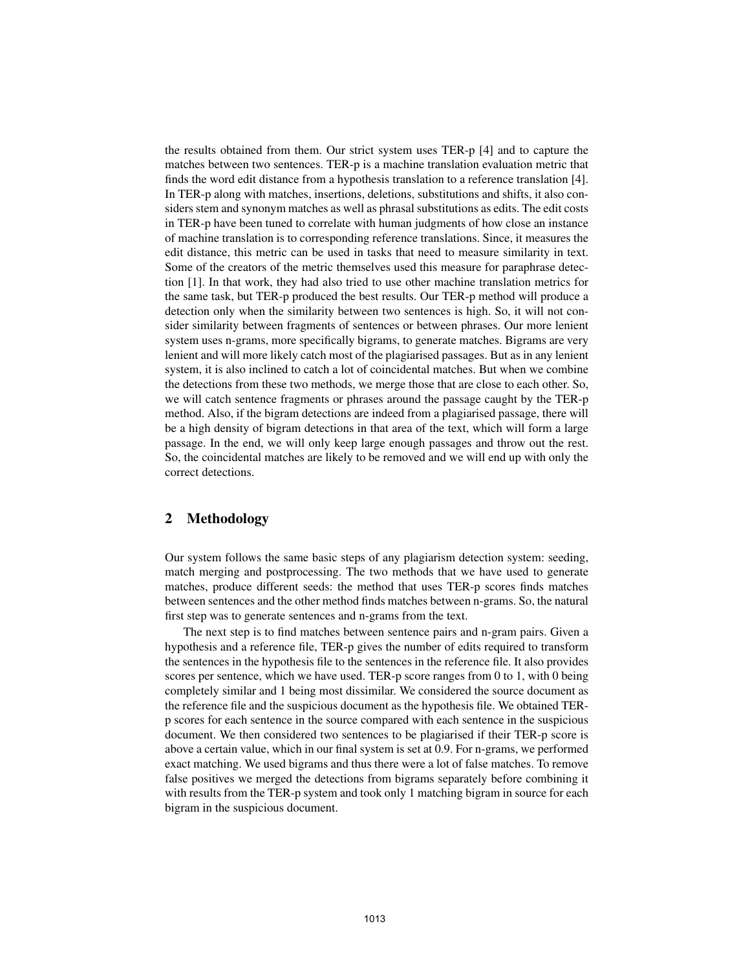the results obtained from them. Our strict system uses TER-p [4] and to capture the matches between two sentences. TER-p is a machine translation evaluation metric that finds the word edit distance from a hypothesis translation to a reference translation [4]. In TER-p along with matches, insertions, deletions, substitutions and shifts, it also considers stem and synonym matches as well as phrasal substitutions as edits. The edit costs in TER-p have been tuned to correlate with human judgments of how close an instance of machine translation is to corresponding reference translations. Since, it measures the edit distance, this metric can be used in tasks that need to measure similarity in text. Some of the creators of the metric themselves used this measure for paraphrase detection [1]. In that work, they had also tried to use other machine translation metrics for the same task, but TER-p produced the best results. Our TER-p method will produce a detection only when the similarity between two sentences is high. So, it will not consider similarity between fragments of sentences or between phrases. Our more lenient system uses n-grams, more specifically bigrams, to generate matches. Bigrams are very lenient and will more likely catch most of the plagiarised passages. But as in any lenient system, it is also inclined to catch a lot of coincidental matches. But when we combine the detections from these two methods, we merge those that are close to each other. So, we will catch sentence fragments or phrases around the passage caught by the TER-p method. Also, if the bigram detections are indeed from a plagiarised passage, there will be a high density of bigram detections in that area of the text, which will form a large passage. In the end, we will only keep large enough passages and throw out the rest. So, the coincidental matches are likely to be removed and we will end up with only the correct detections.

## 2 Methodology

Our system follows the same basic steps of any plagiarism detection system: seeding, match merging and postprocessing. The two methods that we have used to generate matches, produce different seeds: the method that uses TER-p scores finds matches between sentences and the other method finds matches between n-grams. So, the natural first step was to generate sentences and n-grams from the text.

The next step is to find matches between sentence pairs and n-gram pairs. Given a hypothesis and a reference file, TER-p gives the number of edits required to transform the sentences in the hypothesis file to the sentences in the reference file. It also provides scores per sentence, which we have used. TER-p score ranges from 0 to 1, with 0 being completely similar and 1 being most dissimilar. We considered the source document as the reference file and the suspicious document as the hypothesis file. We obtained TERp scores for each sentence in the source compared with each sentence in the suspicious document. We then considered two sentences to be plagiarised if their TER-p score is above a certain value, which in our final system is set at 0.9. For n-grams, we performed exact matching. We used bigrams and thus there were a lot of false matches. To remove false positives we merged the detections from bigrams separately before combining it with results from the TER-p system and took only 1 matching bigram in source for each bigram in the suspicious document.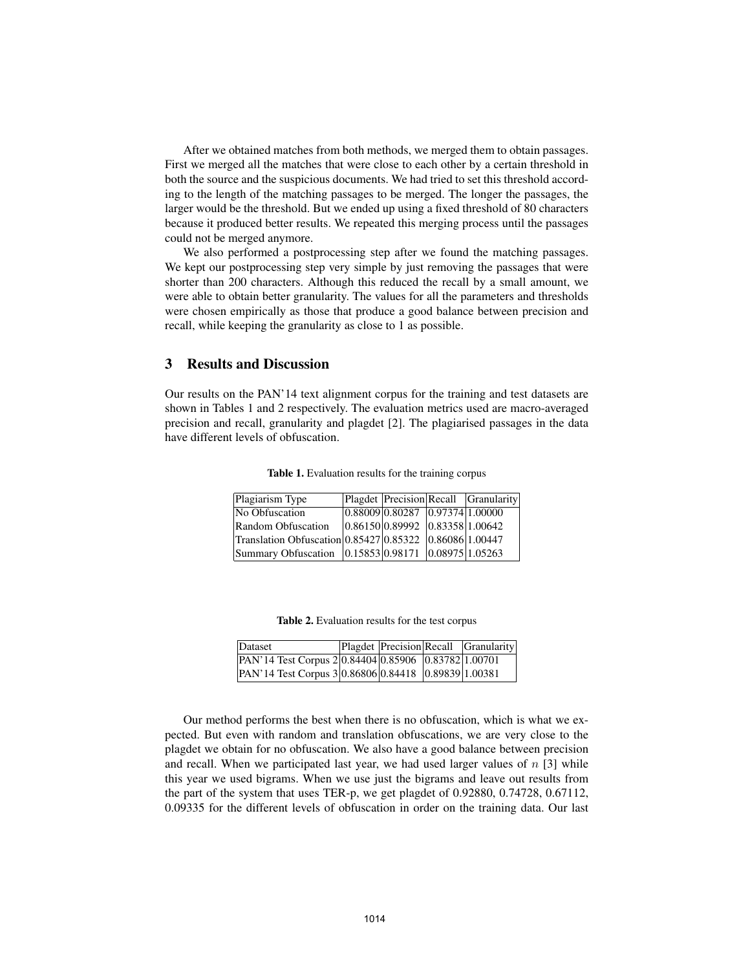After we obtained matches from both methods, we merged them to obtain passages. First we merged all the matches that were close to each other by a certain threshold in both the source and the suspicious documents. We had tried to set this threshold according to the length of the matching passages to be merged. The longer the passages, the larger would be the threshold. But we ended up using a fixed threshold of 80 characters because it produced better results. We repeated this merging process until the passages could not be merged anymore.

We also performed a postprocessing step after we found the matching passages. We kept our postprocessing step very simple by just removing the passages that were shorter than 200 characters. Although this reduced the recall by a small amount, we were able to obtain better granularity. The values for all the parameters and thresholds were chosen empirically as those that produce a good balance between precision and recall, while keeping the granularity as close to 1 as possible.

## 3 Results and Discussion

Our results on the PAN'14 text alignment corpus for the training and test datasets are shown in Tables 1 and 2 respectively. The evaluation metrics used are macro-averaged precision and recall, granularity and plagdet [2]. The plagiarised passages in the data have different levels of obfuscation.

| Plagiarism Type                                         |                                 | Plagdet Precision Recall Granularity |
|---------------------------------------------------------|---------------------------------|--------------------------------------|
| No Obfuscation                                          | 0.88009 0.80287 0.97374 1.00000 |                                      |
| Random Obfuscation                                      | 0.86150 0.89992 0.83358 1.00642 |                                      |
| Translation Obfuscation 0.85427 0.85322 0.86086 1.00447 |                                 |                                      |
| Summary Obfuscation 0.15853 0.98171 0.08975 1.05263     |                                 |                                      |

Table 1. Evaluation results for the training corpus

| Table 2. Evaluation results for the test corpus |  |  |  |
|-------------------------------------------------|--|--|--|
|-------------------------------------------------|--|--|--|

| Dataset                                                        |  | Plagdet Precision Recall Granularity |
|----------------------------------------------------------------|--|--------------------------------------|
| PAN'14 Test Corpus 2 0.84404 0.85906 0.83782 1.00701           |  |                                      |
| $\text{PAN'}$ 14 Test Corpus 3 0.86806 0.84418 0.89839 1.00381 |  |                                      |

Our method performs the best when there is no obfuscation, which is what we expected. But even with random and translation obfuscations, we are very close to the plagdet we obtain for no obfuscation. We also have a good balance between precision and recall. When we participated last year, we had used larger values of  $n \leq 3$  while this year we used bigrams. When we use just the bigrams and leave out results from the part of the system that uses TER-p, we get plagdet of 0.92880, 0.74728, 0.67112, 0.09335 for the different levels of obfuscation in order on the training data. Our last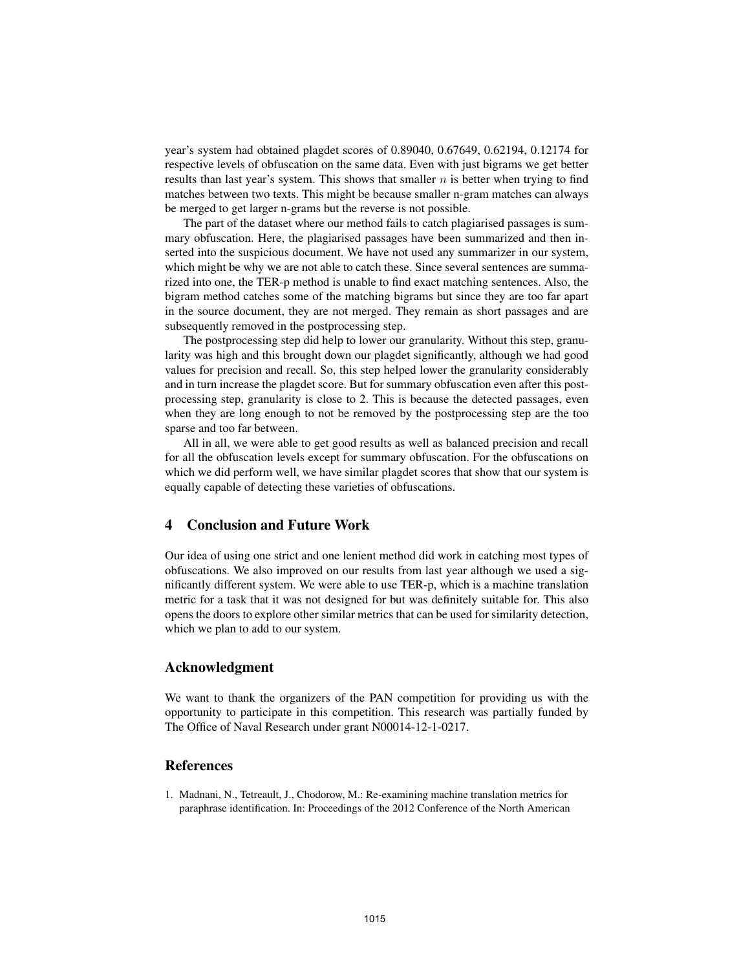year's system had obtained plagdet scores of 0.89040, 0.67649, 0.62194, 0.12174 for respective levels of obfuscation on the same data. Even with just bigrams we get better results than last year's system. This shows that smaller  $n$  is better when trying to find matches between two texts. This might be because smaller n-gram matches can always be merged to get larger n-grams but the reverse is not possible.

The part of the dataset where our method fails to catch plagiarised passages is summary obfuscation. Here, the plagiarised passages have been summarized and then inserted into the suspicious document. We have not used any summarizer in our system, which might be why we are not able to catch these. Since several sentences are summarized into one, the TER-p method is unable to find exact matching sentences. Also, the bigram method catches some of the matching bigrams but since they are too far apart in the source document, they are not merged. They remain as short passages and are subsequently removed in the postprocessing step.

The postprocessing step did help to lower our granularity. Without this step, granularity was high and this brought down our plagdet significantly, although we had good values for precision and recall. So, this step helped lower the granularity considerably and in turn increase the plagdet score. But for summary obfuscation even after this postprocessing step, granularity is close to 2. This is because the detected passages, even when they are long enough to not be removed by the postprocessing step are the too sparse and too far between.

All in all, we were able to get good results as well as balanced precision and recall for all the obfuscation levels except for summary obfuscation. For the obfuscations on which we did perform well, we have similar plagdet scores that show that our system is equally capable of detecting these varieties of obfuscations.

## 4 Conclusion and Future Work

Our idea of using one strict and one lenient method did work in catching most types of obfuscations. We also improved on our results from last year although we used a significantly different system. We were able to use TER-p, which is a machine translation metric for a task that it was not designed for but was definitely suitable for. This also opens the doors to explore other similar metrics that can be used for similarity detection, which we plan to add to our system.

#### Acknowledgment

We want to thank the organizers of the PAN competition for providing us with the opportunity to participate in this competition. This research was partially funded by The Office of Naval Research under grant N00014-12-1-0217.

#### References

1. Madnani, N., Tetreault, J., Chodorow, M.: Re-examining machine translation metrics for paraphrase identification. In: Proceedings of the 2012 Conference of the North American